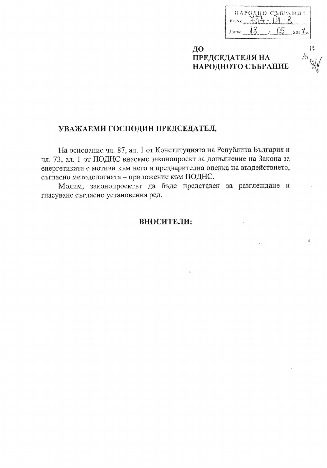| ПАРОДНО СЪБРАНИЕ |     |
|------------------|-----|
| Br.No            |     |
| Лата             | 201 |

ДО **ПРЕДСЕДАТЕЛЯ НА** НАРОДНОТО СЪБРАНИЕ

# 15

## УВАЖАЕМИ ГОСПОДИН ПРЕДСЕДАТЕЛ,

На основание чл. 87, ал. 1 от Конституцията на Република България и чл. 73, ал. 1 от ПОДНС внасяме законопроект за допълнение на Закона за енергетиката с мотиви към него и предварителна оценка на въздействието, съгласно методологията - приложение към ПОДНС.

Молим, законопроектът да бъде представен за разглеждане и гласуване съгласно установения ред.

## ВНОСИТЕЛИ: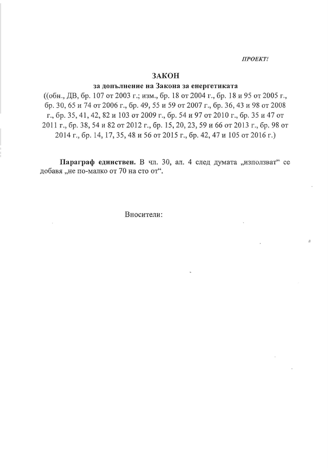ПРОEKT!

## ЗАКОН

## за допълнение на Закона за енергетиката

((обн., ДВ, бр. 107 от 2003 г.; изм., бр. 18 от 2004 г., бр. 18 и 95 от 2005 г., бр. 30, 65 и 74 от 2006 г., бр. 49, 55 и 59 от 2007 г., бр. 36, 43 и 98 от 2008 г., бр. 35, 41, 42, 82 и 103 от 2009 г., бр. 54 и 97 от 2010 г., бр. 35 и 47 от 2011 г., бр. 38, 54 и 82 от 2012 г., бр. 15, 20, 23, 59 и 66 от 2013 г., бр. 98 от 2014 г., бр. 14, 17, 35, 48 и 56 от 2015 г., бр. 42, 47 и 105 от 2016 г.)

Параграф единствен. В чл. 30, ал. 4 след думата "използват" се добавя "не по-малко от 70 на сто от".

Вносители: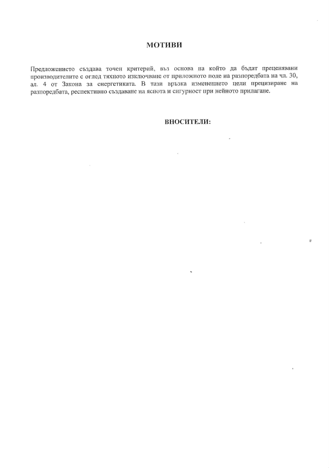## **МОТИВИ**

Предложението създава точен критерий, въз основа на който да бъдат преценявани производителите с оглед тяхното изключване от приложното поле на разпоредбата на чл. 30, ал. 4 от Закона за енергетиката. В тази връзка изменението цели прецизиране на разпоредбата, респективно създаване на яснота и сигурност при нейното прилагане.

#### **ВНОСИТЕЛИ:**

 $\ddot{\phantom{0}}$ 

 $\lambda$